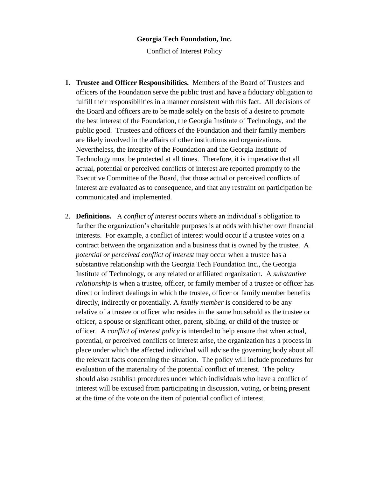## **Georgia Tech Foundation, Inc.**

Conflict of Interest Policy

- **1. Trustee and Officer Responsibilities.** Members of the Board of Trustees and officers of the Foundation serve the public trust and have a fiduciary obligation to fulfill their responsibilities in a manner consistent with this fact. All decisions of the Board and officers are to be made solely on the basis of a desire to promote the best interest of the Foundation, the Georgia Institute of Technology, and the public good. Trustees and officers of the Foundation and their family members are likely involved in the affairs of other institutions and organizations. Nevertheless, the integrity of the Foundation and the Georgia Institute of Technology must be protected at all times. Therefore, it is imperative that all actual, potential or perceived conflicts of interest are reported promptly to the Executive Committee of the Board, that those actual or perceived conflicts of interest are evaluated as to consequence, and that any restraint on participation be communicated and implemented.
- 2. **Definitions.** A *conflict of interest* occurs where an individual's obligation to further the organization's charitable purposes is at odds with his/her own financial interests. For example, a conflict of interest would occur if a trustee votes on a contract between the organization and a business that is owned by the trustee. A *potential or perceived conflict of interest* may occur when a trustee has a substantive relationship with the Georgia Tech Foundation Inc., the Georgia Institute of Technology, or any related or affiliated organization. A *substantive relationship* is when a trustee, officer, or family member of a trustee or officer has direct or indirect dealings in which the trustee, officer or family member benefits directly, indirectly or potentially. A *family member* is considered to be any relative of a trustee or officer who resides in the same household as the trustee or officer, a spouse or significant other, parent, sibling, or child of the trustee or officer. A *conflict of interest policy* is intended to help ensure that when actual, potential, or perceived conflicts of interest arise, the organization has a process in place under which the affected individual will advise the governing body about all the relevant facts concerning the situation. The policy will include procedures for evaluation of the materiality of the potential conflict of interest. The policy should also establish procedures under which individuals who have a conflict of interest will be excused from participating in discussion, voting, or being present at the time of the vote on the item of potential conflict of interest.